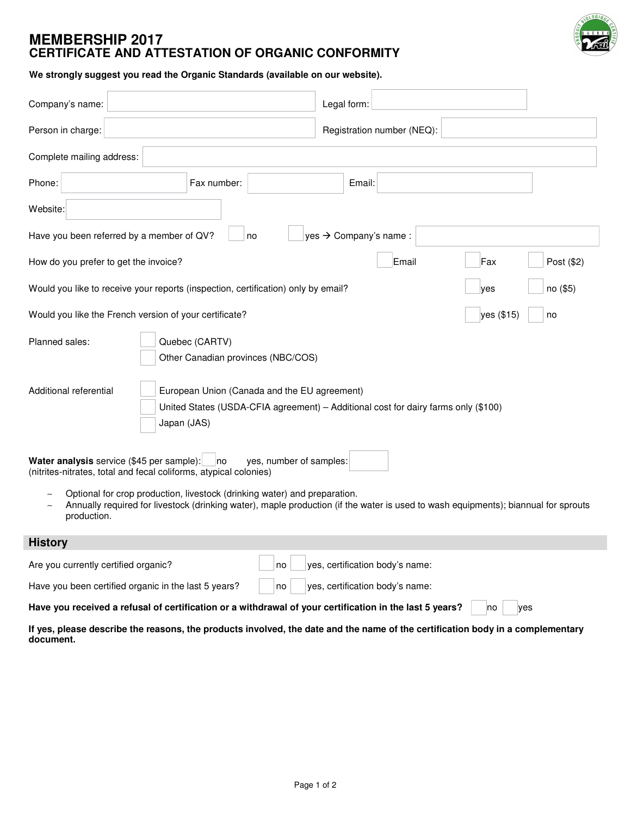

## **MEMBERSHIP 2017 CERTIFICATE AND ATTESTATION OF ORGANIC CONFORMITY**

**We strongly suggest you read the Organic Standards (available on our website).**

| Company's name:                                                                                                                                   | Legal form:                                                                                                                        |            |
|---------------------------------------------------------------------------------------------------------------------------------------------------|------------------------------------------------------------------------------------------------------------------------------------|------------|
| Person in charge:                                                                                                                                 | Registration number (NEQ):                                                                                                         |            |
| Complete mailing address:                                                                                                                         |                                                                                                                                    |            |
| Phone:<br>Fax number:                                                                                                                             | Email:                                                                                                                             |            |
| Website:                                                                                                                                          |                                                                                                                                    |            |
| Have you been referred by a member of QV?<br>no                                                                                                   | yes → Company's name :                                                                                                             |            |
| How do you prefer to get the invoice?                                                                                                             | Email<br>Fax                                                                                                                       | Post (\$2) |
| Would you like to receive your reports (inspection, certification) only by email?                                                                 | no (\$5)<br>ves                                                                                                                    |            |
| Would you like the French version of your certificate?                                                                                            | yes (\$15)<br>no                                                                                                                   |            |
| Planned sales:<br>Quebec (CARTV)<br>Other Canadian provinces (NBC/COS)                                                                            |                                                                                                                                    |            |
| Additional referential<br>European Union (Canada and the EU agreement)<br>Japan (JAS)                                                             | United States (USDA-CFIA agreement) - Additional cost for dairy farms only (\$100)                                                 |            |
| Water analysis service (\$45 per sample):<br>yes, number of samples:<br> no <br>(nitrites-nitrates, total and fecal coliforms, atypical colonies) |                                                                                                                                    |            |
| Optional for crop production, livestock (drinking water) and preparation.<br>production.                                                          | Annually required for livestock (drinking water), maple production (if the water is used to wash equipments); biannual for sprouts |            |
| <b>History</b>                                                                                                                                    |                                                                                                                                    |            |
| Are you currently certified organic?<br>no                                                                                                        | yes, certification body's name:                                                                                                    |            |
| Have you been certified organic in the last 5 years?<br>no                                                                                        | yes, certification body's name:                                                                                                    |            |
| Have you received a refusal of certification or a withdrawal of your certification in the last 5 years?                                           | yes<br><b>no</b>                                                                                                                   |            |

If yes, please describe the reasons, the products involved, the date and the name of the certification body in a complementary **document.**